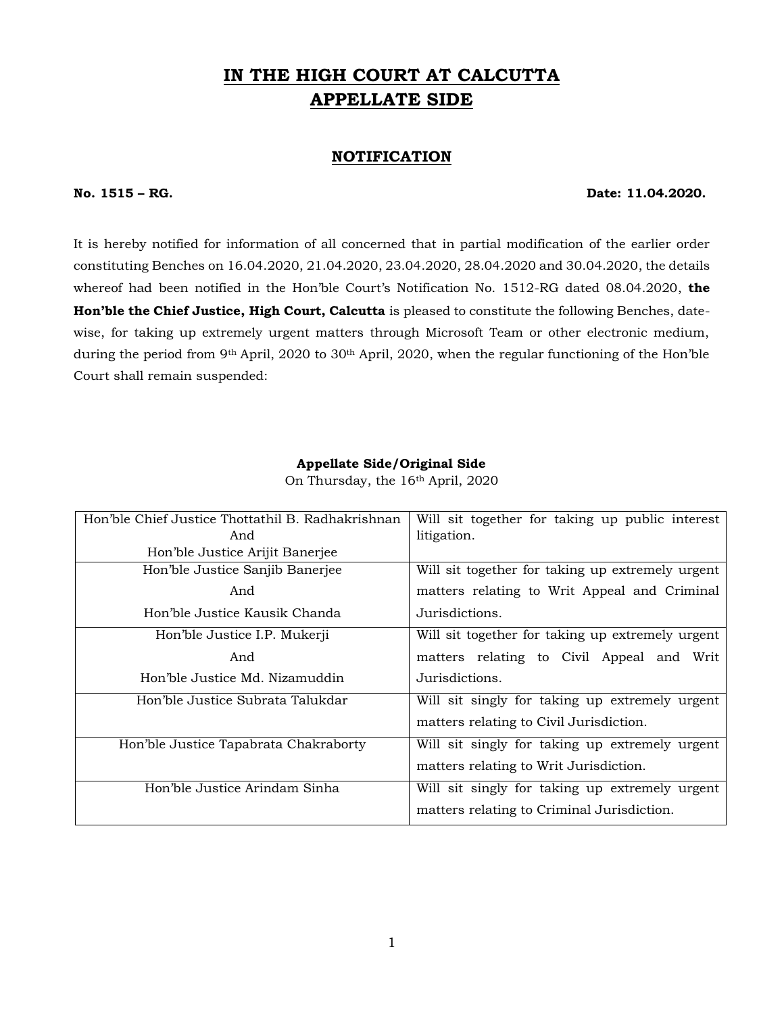# **IN THE HIGH COURT AT CALCUTTA APPELLATE SIDE**

## **NOTIFICATION**

### **No. 1515 – RG. Date: 11.04.2020.**

It is hereby notified for information of all concerned that in partial modification of the earlier order constituting Benches on 16.04.2020, 21.04.2020, 23.04.2020, 28.04.2020 and 30.04.2020, the details whereof had been notified in the Hon'ble Court's Notification No. 1512-RG dated 08.04.2020, **the Hon'ble the Chief Justice, High Court, Calcutta** is pleased to constitute the following Benches, datewise, for taking up extremely urgent matters through Microsoft Team or other electronic medium, during the period from 9<sup>th</sup> April, 2020 to 30<sup>th</sup> April, 2020, when the regular functioning of the Hon'ble Court shall remain suspended:

### **Appellate Side/Original Side**

| Hon'ble Chief Justice Thottathil B. Radhakrishnan | Will sit together for taking up public interest  |
|---------------------------------------------------|--------------------------------------------------|
| And                                               | litigation.                                      |
| Hon'ble Justice Arijit Banerjee                   |                                                  |
| Hon'ble Justice Sanjib Banerjee                   | Will sit together for taking up extremely urgent |
| And                                               | matters relating to Writ Appeal and Criminal     |
| Hon'ble Justice Kausik Chanda                     | Jurisdictions.                                   |
| Hon'ble Justice I.P. Mukerji                      | Will sit together for taking up extremely urgent |
| And                                               | matters relating to Civil Appeal and Writ        |
| Hon'ble Justice Md. Nizamuddin                    | Jurisdictions.                                   |
| Hon'ble Justice Subrata Talukdar                  | Will sit singly for taking up extremely urgent   |
|                                                   | matters relating to Civil Jurisdiction.          |
| Hon'ble Justice Tapabrata Chakraborty             | Will sit singly for taking up extremely urgent   |
|                                                   | matters relating to Writ Jurisdiction.           |
| Hon'ble Justice Arindam Sinha                     | Will sit singly for taking up extremely urgent   |
|                                                   | matters relating to Criminal Jurisdiction.       |

On Thursday, the 16th April, 2020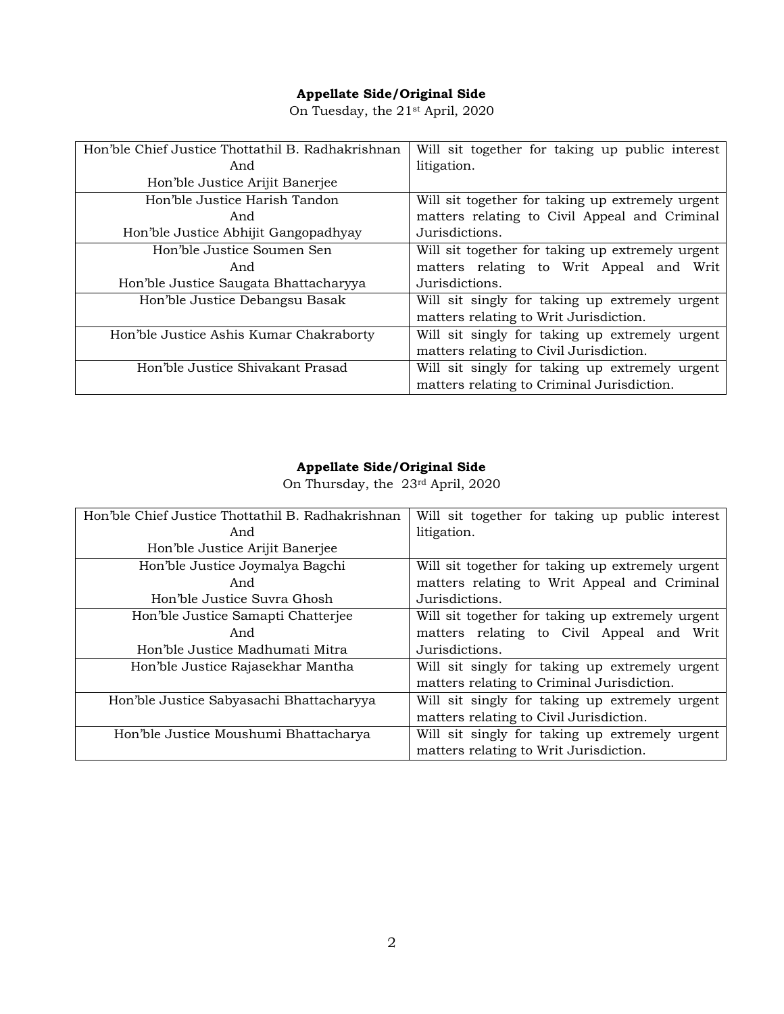# **Appellate Side/Original Side**

On Tuesday, the 21st April, 2020

| Hon'ble Chief Justice Thottathil B. Radhakrishnan | Will sit together for taking up public interest  |
|---------------------------------------------------|--------------------------------------------------|
| And                                               | litigation.                                      |
| Hon'ble Justice Arijit Banerjee                   |                                                  |
| Hon'ble Justice Harish Tandon                     | Will sit together for taking up extremely urgent |
| And                                               | matters relating to Civil Appeal and Criminal    |
| Hon'ble Justice Abhijit Gangopadhyay              | Jurisdictions.                                   |
| Hon'ble Justice Soumen Sen                        | Will sit together for taking up extremely urgent |
| And                                               | matters relating to Writ Appeal and Writ         |
| Hon'ble Justice Saugata Bhattacharyya             | Jurisdictions.                                   |
| Hon'ble Justice Debangsu Basak                    | Will sit singly for taking up extremely urgent   |
|                                                   | matters relating to Writ Jurisdiction.           |
| Hon'ble Justice Ashis Kumar Chakraborty           | Will sit singly for taking up extremely urgent   |
|                                                   | matters relating to Civil Jurisdiction.          |
| Hon'ble Justice Shivakant Prasad                  | Will sit singly for taking up extremely urgent   |
|                                                   | matters relating to Criminal Jurisdiction.       |

# **Appellate Side/Original Side**

On Thursday, the 23rd April, 2020

| Hon'ble Chief Justice Thottathil B. Radhakrishnan | Will sit together for taking up public interest  |
|---------------------------------------------------|--------------------------------------------------|
| And                                               | litigation.                                      |
| Hon'ble Justice Arijit Banerjee                   |                                                  |
| Hon'ble Justice Joymalya Bagchi                   | Will sit together for taking up extremely urgent |
| And                                               | matters relating to Writ Appeal and Criminal     |
| Hon'ble Justice Suvra Ghosh                       | Jurisdictions.                                   |
| Hon'ble Justice Samapti Chatterjee                | Will sit together for taking up extremely urgent |
| And                                               | matters relating to Civil Appeal and Writ        |
| Hon'ble Justice Madhumati Mitra                   | Jurisdictions.                                   |
| Hon'ble Justice Rajasekhar Mantha                 | Will sit singly for taking up extremely urgent   |
|                                                   | matters relating to Criminal Jurisdiction.       |
| Hon'ble Justice Sabyasachi Bhattacharyya          | Will sit singly for taking up extremely urgent   |
|                                                   | matters relating to Civil Jurisdiction.          |
| Hon'ble Justice Moushumi Bhattacharya             | Will sit singly for taking up extremely urgent   |
|                                                   | matters relating to Writ Jurisdiction.           |